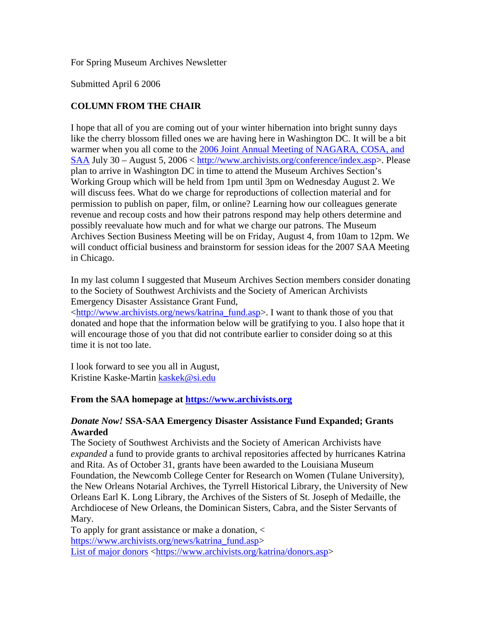For Spring Museum Archives Newsletter

Submitted April 6 2006

# **COLUMN FROM THE CHAIR**

I hope that all of you are coming out of your winter hibernation into bright sunny days like the cherry blossom filled ones we are having here in Washington DC. It will be a bit warmer when you all come to the 2006 Joint Annual Meeting of NAGARA, COSA, and SAA July 30 – August 5, 2006 < http://www.archivists.org/conference/index.asp>. Please plan to arrive in Washington DC in time to attend the Museum Archives Section's Working Group which will be held from 1pm until 3pm on Wednesday August 2. We will discuss fees. What do we charge for reproductions of collection material and for permission to publish on paper, film, or online? Learning how our colleagues generate revenue and recoup costs and how their patrons respond may help others determine and possibly reevaluate how much and for what we charge our patrons. The Museum Archives Section Business Meeting will be on Friday, August 4, from 10am to 12pm. We will conduct official business and brainstorm for session ideas for the 2007 SAA Meeting in Chicago.

In my last column I suggested that Museum Archives Section members consider donating to the Society of Southwest Archivists and the Society of American Archivists Emergency Disaster Assistance Grant Fund,

<http://www.archivists.org/news/katrina\_fund.asp>. I want to thank those of you that donated and hope that the information below will be gratifying to you. I also hope that it will encourage those of you that did not contribute earlier to consider doing so at this time it is not too late.

I look forward to see you all in August, Kristine Kaske-Martin kaskek@si.edu

### **From the SAA homepage at https://www.archivists.org**

### *Donate Now!* **SSA-SAA Emergency Disaster Assistance Fund Expanded; Grants Awarded**

The Society of Southwest Archivists and the Society of American Archivists have *expanded* a fund to provide grants to archival repositories affected by hurricanes Katrina and Rita. As of October 31, grants have been awarded to the Louisiana Museum Foundation, the Newcomb College Center for Research on Women (Tulane University), the New Orleans Notarial Archives, the Tyrrell Historical Library, the University of New Orleans Earl K. Long Library, the Archives of the Sisters of St. Joseph of Medaille, the Archdiocese of New Orleans, the Dominican Sisters, Cabra, and the Sister Servants of Mary.

To apply for grant assistance or make a donation, < https://www.archivists.org/news/katrina\_fund.asp> List of major donors <https://www.archivists.org/katrina/donors.asp>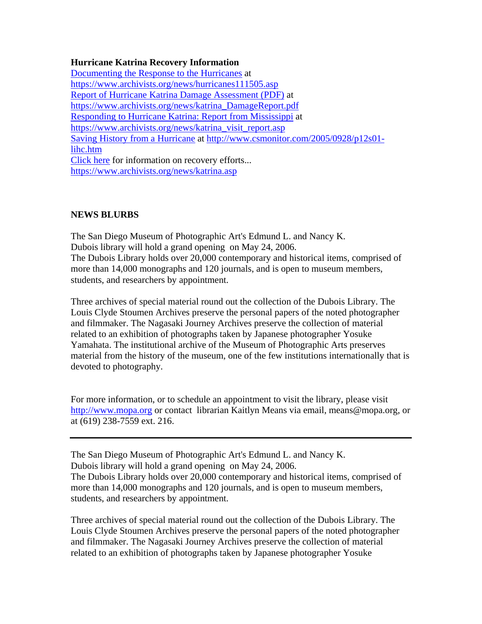### **Hurricane Katrina Recovery Information**

Documenting the Response to the Hurricanes at https://www.archivists.org/news/hurricanes111505.asp Report of Hurricane Katrina Damage Assessment (PDF) at https://www.archivists.org/news/katrina\_DamageReport.pdf Responding to Hurricane Katrina: Report from Mississippi at https://www.archivists.org/news/katrina\_visit\_report.asp Saving History from a Hurricane at http://www.csmonitor.com/2005/0928/p12s01 lihc.htm Click here for information on recovery efforts... https://www.archivists.org/news/katrina.asp

## **NEWS BLURBS**

The San Diego Museum of Photographic Art's Edmund L. and Nancy K. Dubois library will hold a grand opening on May 24, 2006. The Dubois Library holds over 20,000 contemporary and historical items, comprised of more than 14,000 monographs and 120 journals, and is open to museum members, students, and researchers by appointment.

Three archives of special material round out the collection of the Dubois Library. The Louis Clyde Stoumen Archives preserve the personal papers of the noted photographer and filmmaker. The Nagasaki Journey Archives preserve the collection of material related to an exhibition of photographs taken by Japanese photographer Yosuke Yamahata. The institutional archive of the Museum of Photographic Arts preserves material from the history of the museum, one of the few institutions internationally that is devoted to photography.

For more information, or to schedule an appointment to visit the library, please visit http://www.mopa.org or contact librarian Kaitlyn Means via email, means@mopa.org, or at (619) 238-7559 ext. 216.

The San Diego Museum of Photographic Art's Edmund L. and Nancy K. Dubois library will hold a grand opening on May 24, 2006. The Dubois Library holds over 20,000 contemporary and historical items, comprised of more than 14,000 monographs and 120 journals, and is open to museum members, students, and researchers by appointment.

Three archives of special material round out the collection of the Dubois Library. The Louis Clyde Stoumen Archives preserve the personal papers of the noted photographer and filmmaker. The Nagasaki Journey Archives preserve the collection of material related to an exhibition of photographs taken by Japanese photographer Yosuke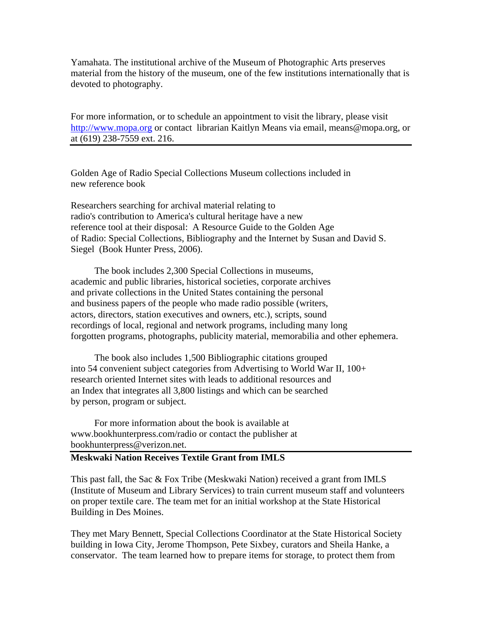Yamahata. The institutional archive of the Museum of Photographic Arts preserves material from the history of the museum, one of the few institutions internationally that is devoted to photography.

For more information, or to schedule an appointment to visit the library, please visit http://www.mopa.org or contact librarian Kaitlyn Means via email, means@mopa.org, or at (619) 238-7559 ext. 216.

Golden Age of Radio Special Collections Museum collections included in new reference book

Researchers searching for archival material relating to radio's contribution to America's cultural heritage have a new reference tool at their disposal: A Resource Guide to the Golden Age of Radio: Special Collections, Bibliography and the Internet by Susan and David S. Siegel (Book Hunter Press, 2006).

 The book includes 2,300 Special Collections in museums, academic and public libraries, historical societies, corporate archives and private collections in the United States containing the personal and business papers of the people who made radio possible (writers, actors, directors, station executives and owners, etc.), scripts, sound recordings of local, regional and network programs, including many long forgotten programs, photographs, publicity material, memorabilia and other ephemera.

 The book also includes 1,500 Bibliographic citations grouped into 54 convenient subject categories from Advertising to World War II, 100+ research oriented Internet sites with leads to additional resources and an Index that integrates all 3,800 listings and which can be searched by person, program or subject.

 For more information about the book is available at www.bookhunterpress.com/radio or contact the publisher at bookhunterpress@verizon.net.

#### **Meskwaki Nation Receives Textile Grant from IMLS**

This past fall, the Sac & Fox Tribe (Meskwaki Nation) received a grant from IMLS (Institute of Museum and Library Services) to train current museum staff and volunteers on proper textile care. The team met for an initial workshop at the State Historical Building in Des Moines.

They met Mary Bennett, Special Collections Coordinator at the State Historical Society building in Iowa City, Jerome Thompson, Pete Sixbey, curators and Sheila Hanke, a conservator. The team learned how to prepare items for storage, to protect them from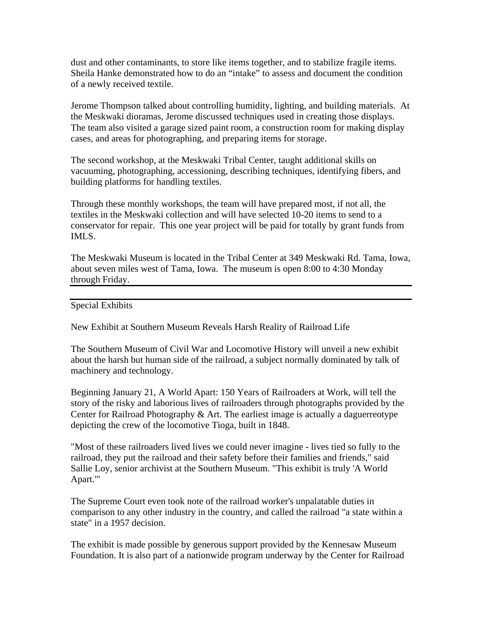dust and other contaminants, to store like items together, and to stabilize fragile items. Sheila Hanke demonstrated how to do an "intake" to assess and document the condition of a newly received textile.

Jerome Thompson talked about controlling humidity, lighting, and building materials. At the Meskwaki dioramas, Jerome discussed techniques used in creating those displays. The team also visited a garage sized paint room, a construction room for making display cases, and areas for photographing, and preparing items for storage.

The second workshop, at the Meskwaki Tribal Center, taught additional skills on vacuuming, photographing, accessioning, describing techniques, identifying fibers, and building platforms for handling textiles.

Through these monthly workshops, the team will have prepared most, if not all, the textiles in the Meskwaki collection and will have selected 10-20 items to send to a conservator for repair. This one year project will be paid for totally by grant funds from IMLS.

The Meskwaki Museum is located in the Tribal Center at 349 Meskwaki Rd. Tama, Iowa, about seven miles west of Tama, Iowa. The museum is open 8:00 to 4:30 Monday through Friday.

Special Exhibits

New Exhibit at Southern Museum Reveals Harsh Reality of Railroad Life

The Southern Museum of Civil War and Locomotive History will unveil a new exhibit about the harsh but human side of the railroad, a subject normally dominated by talk of machinery and technology.

Beginning January 21, A World Apart: 150 Years of Railroaders at Work, will tell the story of the risky and laborious lives of railroaders through photographs provided by the Center for Railroad Photography  $&$  Art. The earliest image is actually a daguerreotype depicting the crew of the locomotive Tioga, built in 1848.

"Most of these railroaders lived lives we could never imagine - lives tied so fully to the railroad, they put the railroad and their safety before their families and friends," said Sallie Loy, senior archivist at the Southern Museum. "This exhibit is truly 'A World Apart.'"

The Supreme Court even took note of the railroad worker's unpalatable duties in comparison to any other industry in the country, and called the railroad "a state within a state" in a 1957 decision.

The exhibit is made possible by generous support provided by the Kennesaw Museum Foundation. It is also part of a nationwide program underway by the Center for Railroad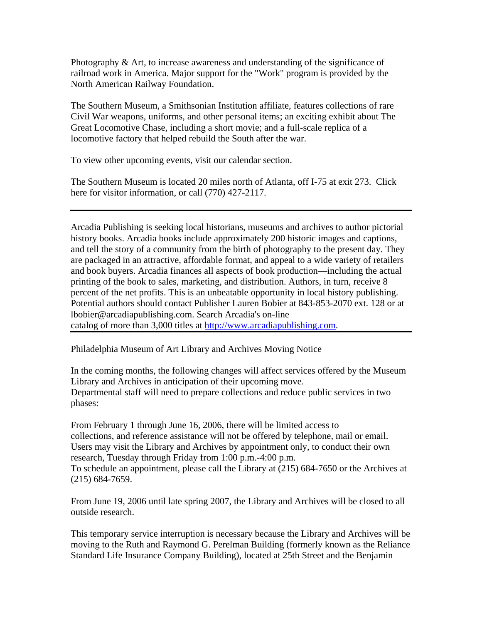Photography  $\&$  Art, to increase awareness and understanding of the significance of railroad work in America. Major support for the "Work" program is provided by the North American Railway Foundation.

The Southern Museum, a Smithsonian Institution affiliate, features collections of rare Civil War weapons, uniforms, and other personal items; an exciting exhibit about The Great Locomotive Chase, including a short movie; and a full-scale replica of a locomotive factory that helped rebuild the South after the war.

To view other upcoming events, visit our calendar section.

The Southern Museum is located 20 miles north of Atlanta, off I-75 at exit 273. Click here for visitor information, or call (770) 427-2117.

Arcadia Publishing is seeking local historians, museums and archives to author pictorial history books. Arcadia books include approximately 200 historic images and captions, and tell the story of a community from the birth of photography to the present day. They are packaged in an attractive, affordable format, and appeal to a wide variety of retailers and book buyers. Arcadia finances all aspects of book production—including the actual printing of the book to sales, marketing, and distribution. Authors, in turn, receive 8 percent of the net profits. This is an unbeatable opportunity in local history publishing. Potential authors should contact Publisher Lauren Bobier at 843-853-2070 ext. 128 or at lbobier@arcadiapublishing.com. Search Arcadia's on-line catalog of more than 3,000 titles at http://www.arcadiapublishing.com.

Philadelphia Museum of Art Library and Archives Moving Notice

In the coming months, the following changes will affect services offered by the Museum Library and Archives in anticipation of their upcoming move. Departmental staff will need to prepare collections and reduce public services in two phases:

From February 1 through June 16, 2006, there will be limited access to collections, and reference assistance will not be offered by telephone, mail or email. Users may visit the Library and Archives by appointment only, to conduct their own research, Tuesday through Friday from 1:00 p.m.-4:00 p.m. To schedule an appointment, please call the Library at (215) 684-7650 or the Archives at (215) 684-7659.

From June 19, 2006 until late spring 2007, the Library and Archives will be closed to all outside research.

This temporary service interruption is necessary because the Library and Archives will be moving to the Ruth and Raymond G. Perelman Building (formerly known as the Reliance Standard Life Insurance Company Building), located at 25th Street and the Benjamin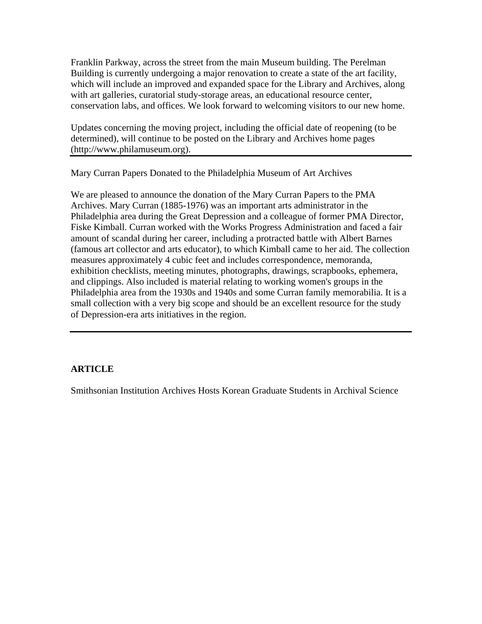Franklin Parkway, across the street from the main Museum building. The Perelman Building is currently undergoing a major renovation to create a state of the art facility, which will include an improved and expanded space for the Library and Archives, along with art galleries, curatorial study-storage areas, an educational resource center, conservation labs, and offices. We look forward to welcoming visitors to our new home.

Updates concerning the moving project, including the official date of reopening (to be determined), will continue to be posted on the Library and Archives home pages (http://www.philamuseum.org).

Mary Curran Papers Donated to the Philadelphia Museum of Art Archives

We are pleased to announce the donation of the Mary Curran Papers to the PMA Archives. Mary Curran (1885-1976) was an important arts administrator in the Philadelphia area during the Great Depression and a colleague of former PMA Director, Fiske Kimball. Curran worked with the Works Progress Administration and faced a fair amount of scandal during her career, including a protracted battle with Albert Barnes (famous art collector and arts educator), to which Kimball came to her aid. The collection measures approximately 4 cubic feet and includes correspondence, memoranda, exhibition checklists, meeting minutes, photographs, drawings, scrapbooks, ephemera, and clippings. Also included is material relating to working women's groups in the Philadelphia area from the 1930s and 1940s and some Curran family memorabilia. It is a small collection with a very big scope and should be an excellent resource for the study of Depression-era arts initiatives in the region.

## **ARTICLE**

Smithsonian Institution Archives Hosts Korean Graduate Students in Archival Science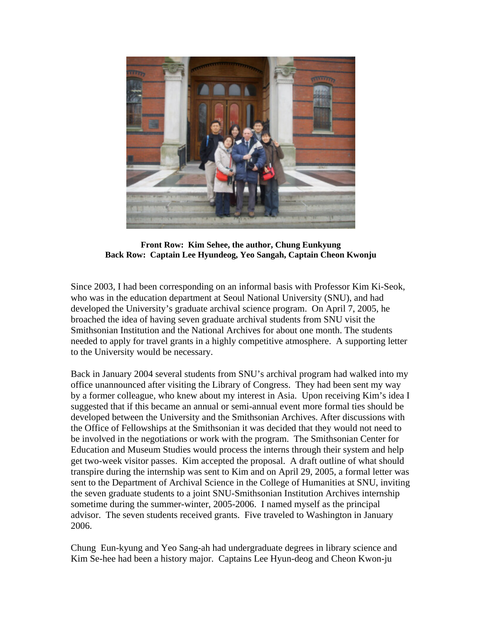

**Front Row: Kim Sehee, the author, Chung Eunkyung Back Row: Captain Lee Hyundeog, Yeo Sangah, Captain Cheon Kwonju** 

Since 2003, I had been corresponding on an informal basis with Professor Kim Ki-Seok, who was in the education department at Seoul National University (SNU), and had developed the University's graduate archival science program. On April 7, 2005, he broached the idea of having seven graduate archival students from SNU visit the Smithsonian Institution and the National Archives for about one month. The students needed to apply for travel grants in a highly competitive atmosphere. A supporting letter to the University would be necessary.

Back in January 2004 several students from SNU's archival program had walked into my office unannounced after visiting the Library of Congress. They had been sent my way by a former colleague, who knew about my interest in Asia. Upon receiving Kim's idea I suggested that if this became an annual or semi-annual event more formal ties should be developed between the University and the Smithsonian Archives. After discussions with the Office of Fellowships at the Smithsonian it was decided that they would not need to be involved in the negotiations or work with the program. The Smithsonian Center for Education and Museum Studies would process the interns through their system and help get two-week visitor passes. Kim accepted the proposal. A draft outline of what should transpire during the internship was sent to Kim and on April 29, 2005, a formal letter was sent to the Department of Archival Science in the College of Humanities at SNU, inviting the seven graduate students to a joint SNU-Smithsonian Institution Archives internship sometime during the summer-winter, 2005-2006. I named myself as the principal advisor. The seven students received grants. Five traveled to Washington in January 2006.

Chung Eun-kyung and Yeo Sang-ah had undergraduate degrees in library science and Kim Se-hee had been a history major. Captains Lee Hyun-deog and Cheon Kwon-ju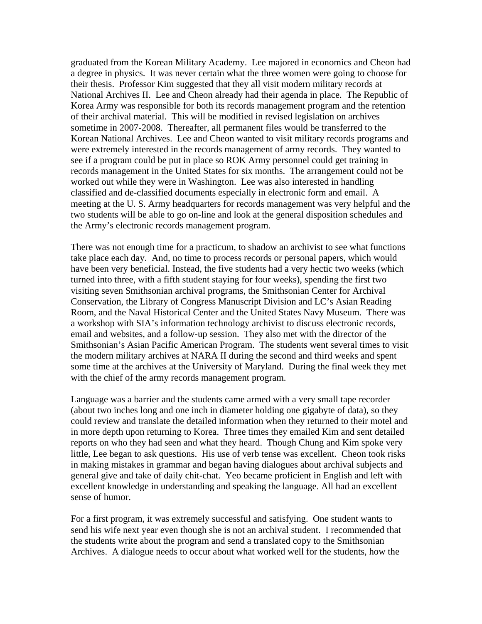graduated from the Korean Military Academy. Lee majored in economics and Cheon had a degree in physics. It was never certain what the three women were going to choose for their thesis. Professor Kim suggested that they all visit modern military records at National Archives II. Lee and Cheon already had their agenda in place. The Republic of Korea Army was responsible for both its records management program and the retention of their archival material. This will be modified in revised legislation on archives sometime in 2007-2008. Thereafter, all permanent files would be transferred to the Korean National Archives. Lee and Cheon wanted to visit military records programs and were extremely interested in the records management of army records. They wanted to see if a program could be put in place so ROK Army personnel could get training in records management in the United States for six months. The arrangement could not be worked out while they were in Washington. Lee was also interested in handling classified and de-classified documents especially in electronic form and email. A meeting at the U. S. Army headquarters for records management was very helpful and the two students will be able to go on-line and look at the general disposition schedules and the Army's electronic records management program.

There was not enough time for a practicum, to shadow an archivist to see what functions take place each day. And, no time to process records or personal papers, which would have been very beneficial. Instead, the five students had a very hectic two weeks (which turned into three, with a fifth student staying for four weeks), spending the first two visiting seven Smithsonian archival programs, the Smithsonian Center for Archival Conservation, the Library of Congress Manuscript Division and LC's Asian Reading Room, and the Naval Historical Center and the United States Navy Museum. There was a workshop with SIA's information technology archivist to discuss electronic records, email and websites, and a follow-up session. They also met with the director of the Smithsonian's Asian Pacific American Program. The students went several times to visit the modern military archives at NARA II during the second and third weeks and spent some time at the archives at the University of Maryland. During the final week they met with the chief of the army records management program.

Language was a barrier and the students came armed with a very small tape recorder (about two inches long and one inch in diameter holding one gigabyte of data), so they could review and translate the detailed information when they returned to their motel and in more depth upon returning to Korea. Three times they emailed Kim and sent detailed reports on who they had seen and what they heard. Though Chung and Kim spoke very little, Lee began to ask questions. His use of verb tense was excellent. Cheon took risks in making mistakes in grammar and began having dialogues about archival subjects and general give and take of daily chit-chat. Yeo became proficient in English and left with excellent knowledge in understanding and speaking the language. All had an excellent sense of humor.

For a first program, it was extremely successful and satisfying. One student wants to send his wife next year even though she is not an archival student. I recommended that the students write about the program and send a translated copy to the Smithsonian Archives. A dialogue needs to occur about what worked well for the students, how the